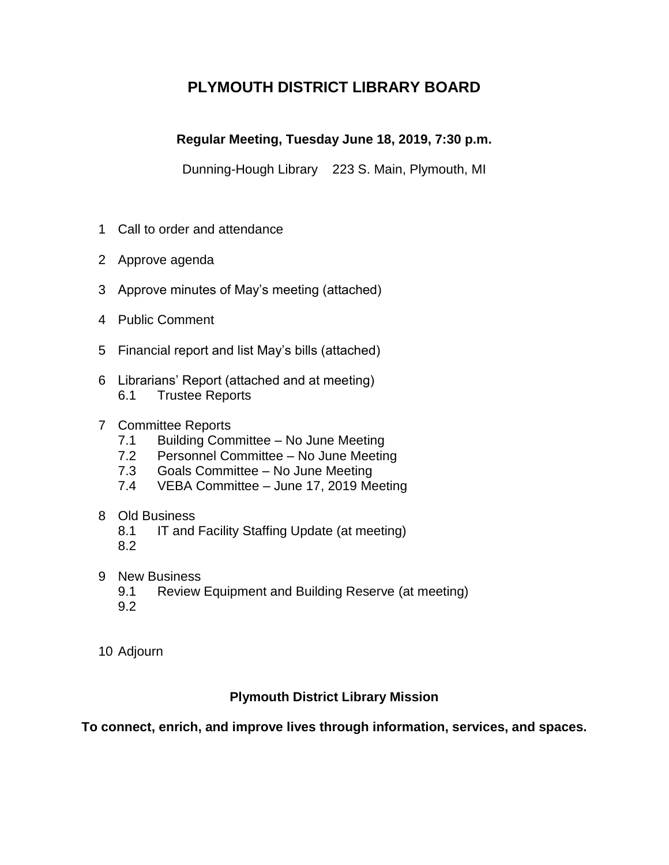# **PLYMOUTH DISTRICT LIBRARY BOARD**

# **Regular Meeting, Tuesday June 18, 2019, 7:30 p.m.**

Dunning-Hough Library 223 S. Main, Plymouth, MI

- 1 Call to order and attendance
- 2 Approve agenda
- 3 Approve minutes of May's meeting (attached)
- 4 Public Comment
- 5 Financial report and list May's bills (attached)
- 6 Librarians' Report (attached and at meeting) 6.1 Trustee Reports

# 7 Committee Reports

- 7.1 Building Committee No June Meeting
- 7.2 Personnel Committee No June Meeting
- 7.3 Goals Committee No June Meeting
- 7.4 VEBA Committee June 17, 2019 Meeting

# 8 Old Business

- 8.1 IT and Facility Staffing Update (at meeting)
- 8.2
- 9 New Business
	- 9.1 Review Equipment and Building Reserve (at meeting)
	- 9.2
- 10 Adjourn

# **Plymouth District Library Mission**

**To connect, enrich, and improve lives through information, services, and spaces.**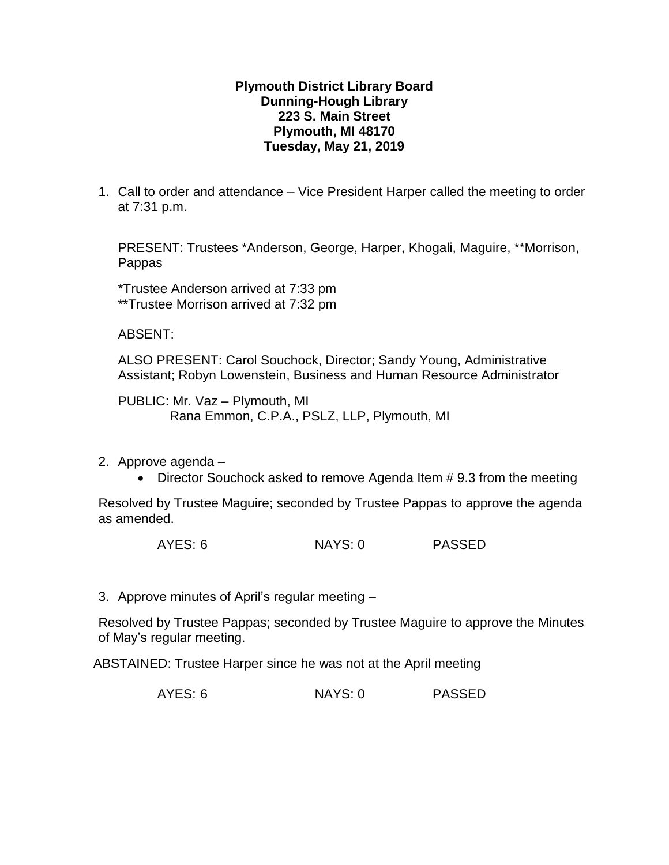# **Plymouth District Library Board Dunning-Hough Library 223 S. Main Street Plymouth, MI 48170 Tuesday, May 21, 2019**

1. Call to order and attendance – Vice President Harper called the meeting to order at 7:31 p.m.

PRESENT: Trustees \*Anderson, George, Harper, Khogali, Maguire, \*\*Morrison, Pappas

\*Trustee Anderson arrived at 7:33 pm \*\*Trustee Morrison arrived at 7:32 pm

ABSENT:

ALSO PRESENT: Carol Souchock, Director; Sandy Young, Administrative Assistant; Robyn Lowenstein, Business and Human Resource Administrator

PUBLIC: Mr. Vaz – Plymouth, MI Rana Emmon, C.P.A., PSLZ, LLP, Plymouth, MI

- 2. Approve agenda
	- Director Souchock asked to remove Agenda Item # 9.3 from the meeting

Resolved by Trustee Maguire; seconded by Trustee Pappas to approve the agenda as amended.

AYES: 6 NAYS: 0 PASSED

3. Approve minutes of April's regular meeting –

Resolved by Trustee Pappas; seconded by Trustee Maguire to approve the Minutes of May's regular meeting.

ABSTAINED: Trustee Harper since he was not at the April meeting

AYES: 6 NAYS: 0 PASSED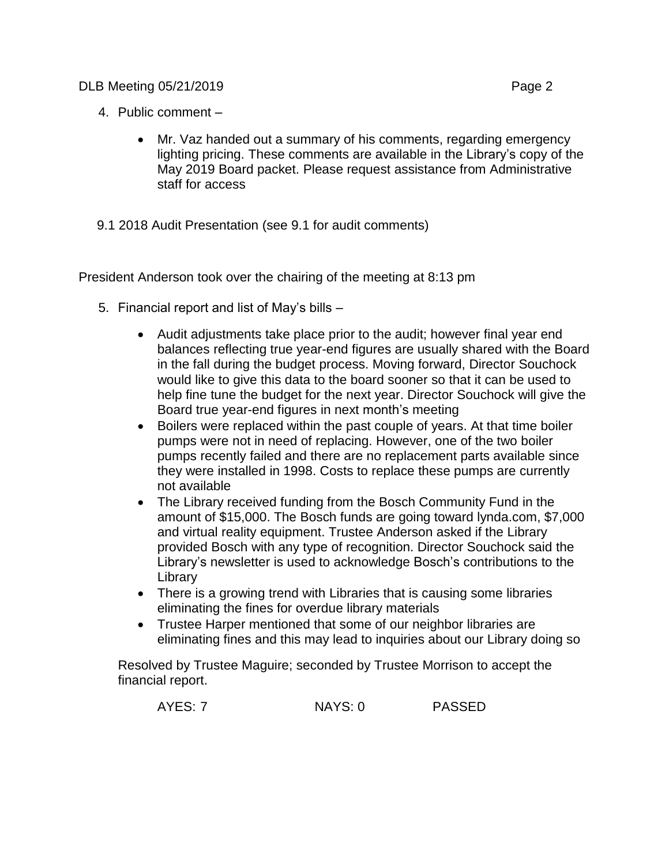- 4. Public comment
	- Mr. Vaz handed out a summary of his comments, regarding emergency lighting pricing. These comments are available in the Library's copy of the May 2019 Board packet. Please request assistance from Administrative staff for access
- 9.1 2018 Audit Presentation (see 9.1 for audit comments)

President Anderson took over the chairing of the meeting at 8:13 pm

- 5. Financial report and list of May's bills
	- Audit adjustments take place prior to the audit; however final year end balances reflecting true year-end figures are usually shared with the Board in the fall during the budget process. Moving forward, Director Souchock would like to give this data to the board sooner so that it can be used to help fine tune the budget for the next year. Director Souchock will give the Board true year-end figures in next month's meeting
	- Boilers were replaced within the past couple of years. At that time boiler pumps were not in need of replacing. However, one of the two boiler pumps recently failed and there are no replacement parts available since they were installed in 1998. Costs to replace these pumps are currently not available
	- The Library received funding from the Bosch Community Fund in the amount of \$15,000. The Bosch funds are going toward [lynda.com,](http://lynda.com/) \$7,000 and virtual reality equipment. Trustee Anderson asked if the Library provided Bosch with any type of recognition. Director Souchock said the Library's newsletter is used to acknowledge Bosch's contributions to the Library
	- There is a growing trend with Libraries that is causing some libraries eliminating the fines for overdue library materials
	- Trustee Harper mentioned that some of our neighbor libraries are eliminating fines and this may lead to inquiries about our Library doing so

Resolved by Trustee Maguire; seconded by Trustee Morrison to accept the financial report.

| <b>PASSED</b><br>AYES: 7<br>NAYS: 0 |
|-------------------------------------|
|-------------------------------------|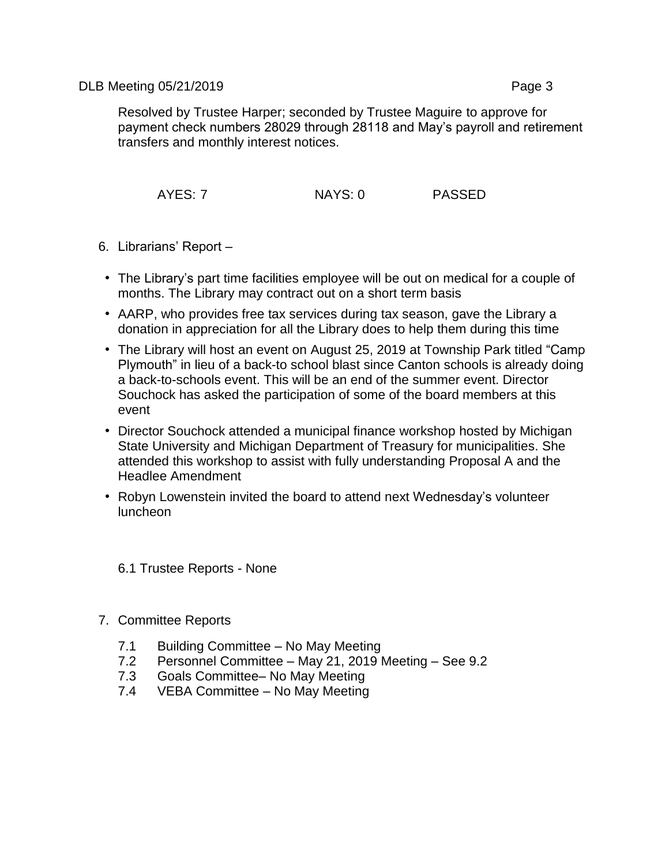Resolved by Trustee Harper; seconded by Trustee Maguire to approve for payment check numbers 28029 through 28118 and May's payroll and retirement transfers and monthly interest notices.

AYES: 7 NAYS: 0 PASSED

- 6. Librarians' Report
	- The Library's part time facilities employee will be out on medical for a couple of months. The Library may contract out on a short term basis
	- AARP, who provides free tax services during tax season, gave the Library a donation in appreciation for all the Library does to help them during this time
	- The Library will host an event on August 25, 2019 at Township Park titled "Camp Plymouth" in lieu of a back-to school blast since Canton schools is already doing a back-to-schools event. This will be an end of the summer event. Director Souchock has asked the participation of some of the board members at this event
	- Director Souchock attended a municipal finance workshop hosted by Michigan State University and Michigan Department of Treasury for municipalities. She attended this workshop to assist with fully understanding Proposal A and the Headlee Amendment
	- Robyn Lowenstein invited the board to attend next Wednesday's volunteer luncheon

6.1 Trustee Reports - None

- 7. Committee Reports
	- 7.1 Building Committee No May Meeting
	- 7.2 Personnel Committee May 21, 2019 Meeting See 9.2
	- 7.3 Goals Committee– No May Meeting
	- 7.4 VEBA Committee No May Meeting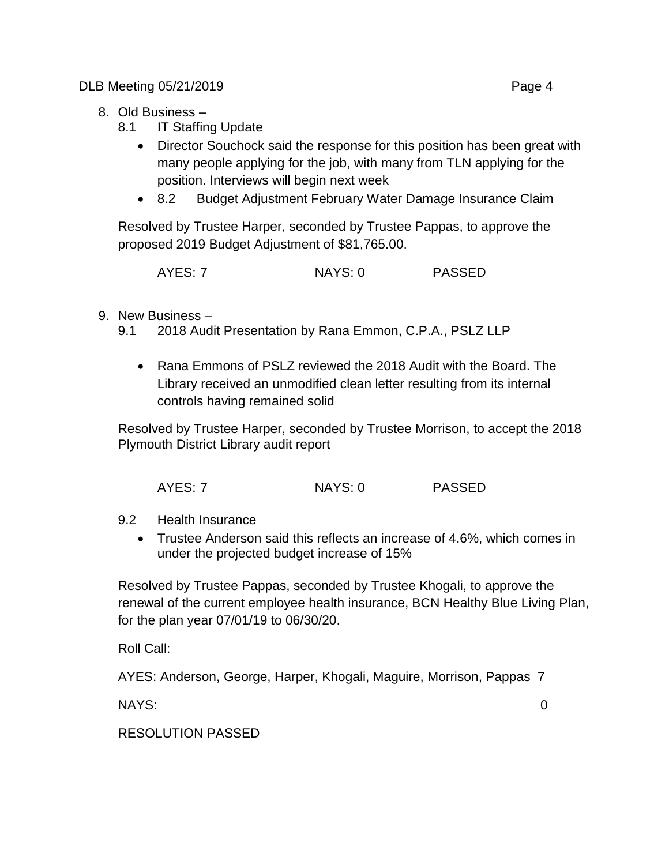- 8. Old Business
	- 8.1 IT Staffing Update
		- Director Souchock said the response for this position has been great with many people applying for the job, with many from TLN applying for the position. Interviews will begin next week
		- 8.2 Budget Adjustment February Water Damage Insurance Claim

Resolved by Trustee Harper, seconded by Trustee Pappas, to approve the proposed 2019 Budget Adjustment of \$81,765.00.

| AYES: 7 | NAYS: 0 | <b>PASSED</b> |
|---------|---------|---------------|
|---------|---------|---------------|

- 9. New Business
	- 9.1 2018 Audit Presentation by Rana Emmon, C.P.A., PSLZ LLP
		- Rana Emmons of PSLZ reviewed the 2018 Audit with the Board. The Library received an unmodified clean letter resulting from its internal controls having remained solid

Resolved by Trustee Harper, seconded by Trustee Morrison, to accept the 2018 Plymouth District Library audit report

| AYES: 7 | NAYS: 0 | <b>PASSED</b> |
|---------|---------|---------------|
|         |         |               |

- 9.2 Health Insurance
	- Trustee Anderson said this reflects an increase of 4.6%, which comes in under the projected budget increase of 15%

Resolved by Trustee Pappas, seconded by Trustee Khogali, to approve the renewal of the current employee health insurance, BCN Healthy Blue Living Plan, for the plan year 07/01/19 to 06/30/20.

Roll Call:

AYES: Anderson, George, Harper, Khogali, Maguire, Morrison, Pappas 7

NAYS: 0

RESOLUTION PASSED